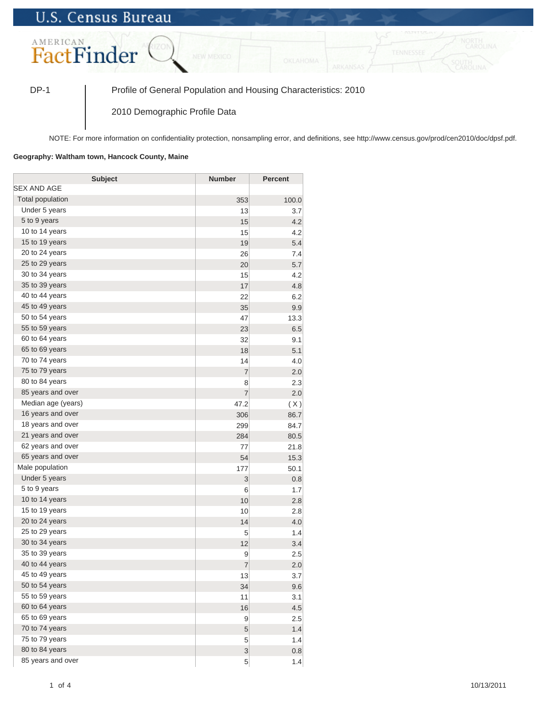## **U.S. Census Bureau**



DP-1 Profile of General Population and Housing Characteristics: 2010

2010 Demographic Profile Data

NOTE: For more information on confidentiality protection, nonsampling error, and definitions, see http://www.census.gov/prod/cen2010/doc/dpsf.pdf.

## **Geography: Waltham town, Hancock County, Maine**

| <b>Subject</b>     | <b>Number</b>  | <b>Percent</b> |
|--------------------|----------------|----------------|
| SEX AND AGE        |                |                |
| Total population   | 353            | 100.0          |
| Under 5 years      | 13             | 3.7            |
| 5 to 9 years       | 15             | 4.2            |
| 10 to 14 years     | 15             | 4.2            |
| 15 to 19 years     | 19             | 5.4            |
| 20 to 24 years     | 26             | 7.4            |
| 25 to 29 years     | 20             | 5.7            |
| 30 to 34 years     | 15             | 4.2            |
| 35 to 39 years     | 17             | 4.8            |
| 40 to 44 years     | 22             | 6.2            |
| 45 to 49 years     | 35             | 9.9            |
| 50 to 54 years     | 47             | 13.3           |
| 55 to 59 years     | 23             | 6.5            |
| 60 to 64 years     | 32             | 9.1            |
| 65 to 69 years     | 18             | 5.1            |
| 70 to 74 years     | 14             | 4.0            |
| 75 to 79 years     | $\overline{7}$ | 2.0            |
| 80 to 84 years     | 8              | 2.3            |
| 85 years and over  | $\overline{7}$ | 2.0            |
| Median age (years) | 47.2           | (X)            |
| 16 years and over  | 306            | 86.7           |
| 18 years and over  | 299            | 84.7           |
| 21 years and over  | 284            | 80.5           |
| 62 years and over  | 77             | 21.8           |
| 65 years and over  | 54             | 15.3           |
| Male population    | 177            | 50.1           |
| Under 5 years      | 3              | 0.8            |
| 5 to 9 years       | 6              | 1.7            |
| 10 to 14 years     | 10             | 2.8            |
| 15 to 19 years     | 10             | 2.8            |
| 20 to 24 years     | 14             | 4.0            |
| 25 to 29 years     | 5              | 1.4            |
| 30 to 34 years     | 12             | 3.4            |
| 35 to 39 years     | 9              | 2.5            |
| 40 to 44 years     | $\overline{7}$ | 2.0            |
| 45 to 49 years     | 13             | 3.7            |
| 50 to 54 years     | 34             | 9.6            |
| 55 to 59 years     | 11             | 3.1            |
| 60 to 64 years     | 16             | 4.5            |
| 65 to 69 years     | 9              | 2.5            |
| 70 to 74 years     | $\sqrt{5}$     | 1.4            |
| 75 to 79 years     | 5              | 1.4            |
| 80 to 84 years     | 3              | 0.8            |
| 85 years and over  | 5              | 1.4            |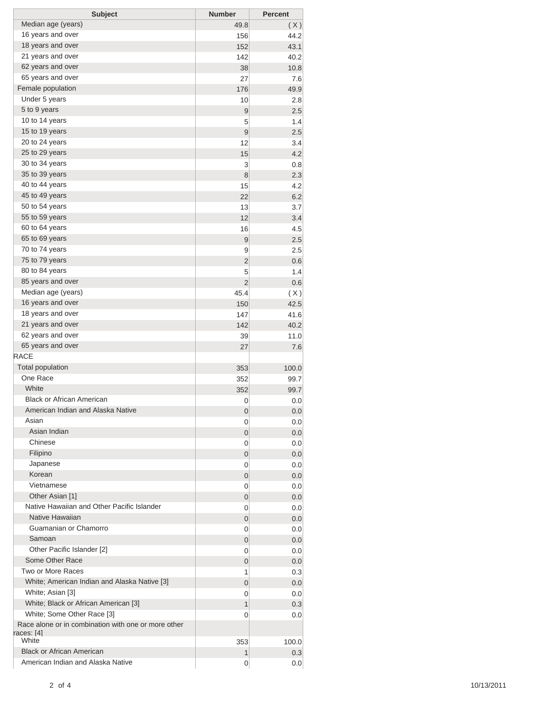| <b>Subject</b>                                                             | <b>Number</b> | <b>Percent</b> |
|----------------------------------------------------------------------------|---------------|----------------|
| Median age (years)                                                         | 49.8          | (X)            |
| 16 years and over                                                          | 156           | 44.2           |
| 18 years and over                                                          | 152           | 43.1           |
| 21 years and over                                                          | 142           | 40.2           |
| 62 years and over                                                          | 38            | 10.8           |
| 65 years and over                                                          | 27            | 7.6            |
| Female population                                                          | 176           | 49.9           |
| Under 5 years                                                              | 10            | 2.8            |
| 5 to 9 years                                                               | 9             | 2.5            |
| 10 to 14 years                                                             | 5             | 1.4            |
| 15 to 19 years                                                             | 9             | 2.5            |
| 20 to 24 years                                                             | 12            | 3.4            |
| 25 to 29 years                                                             | 15            | 4.2            |
| 30 to 34 years                                                             | 3             | 0.8            |
| 35 to 39 years                                                             | 8             | 2.3            |
| 40 to 44 years                                                             | 15            | 4.2            |
| 45 to 49 years                                                             | 22            | 6.2            |
| 50 to 54 years                                                             | 13            | 3.7            |
| 55 to 59 years<br>60 to 64 years                                           | 12            | 3.4            |
| 65 to 69 years                                                             | 16            | 4.5            |
| 70 to 74 years                                                             | 9             | 2.5            |
| 75 to 79 years                                                             | 9             | 2.5            |
| 80 to 84 years                                                             | 2             | 0.6            |
| 85 years and over                                                          | 5<br>2        | 1.4<br>0.6     |
| Median age (years)                                                         | 45.4          |                |
| 16 years and over                                                          | 150           | (X)<br>42.5    |
| 18 years and over                                                          | 147           | 41.6           |
| 21 years and over                                                          | 142           | 40.2           |
| 62 years and over                                                          | 39            | 11.0           |
| 65 years and over                                                          | 27            | 7.6            |
| <b>RACE</b>                                                                |               |                |
| <b>Total population</b>                                                    | 353           | 100.0          |
| One Race                                                                   | 352           | 99.7           |
| White                                                                      | 352           | 99.7           |
| <b>Black or African American</b>                                           | 0             | 0.0            |
| American Indian and Alaska Native                                          | 0             | 0.0            |
| Asian                                                                      | 0             | 0.0            |
| Asian Indian                                                               | 0             | 0.0            |
| Chinese                                                                    | 0             | 0.0            |
| Filipino                                                                   | 0             | 0.0            |
| Japanese                                                                   | 0             | 0.0            |
| Korean                                                                     | 0             | 0.0            |
| Vietnamese                                                                 | 0             | 0.0            |
| Other Asian [1]                                                            | 0             | 0.0            |
| Native Hawaiian and Other Pacific Islander                                 | 0             | 0.0            |
| Native Hawaiian                                                            | 0             | 0.0            |
| Guamanian or Chamorro                                                      | 0             | 0.0            |
| Samoan                                                                     | 0             | 0.0            |
| Other Pacific Islander [2]                                                 | 0             | 0.0            |
| Some Other Race                                                            | 0             | 0.0            |
| Two or More Races                                                          | 1             | 0.3            |
| White; American Indian and Alaska Native [3]                               | 0             | 0.0            |
| White; Asian [3]                                                           | 0             | 0.0            |
| White; Black or African American [3]                                       | 1             | 0.3            |
| White; Some Other Race [3]                                                 | 0             | 0.0            |
| Race alone or in combination with one or more other<br>races: [4]<br>White | 353           | 100.0          |
| <b>Black or African American</b>                                           | 1             | 0.3            |
| American Indian and Alaska Native                                          | 0             | 0.0            |
|                                                                            |               |                |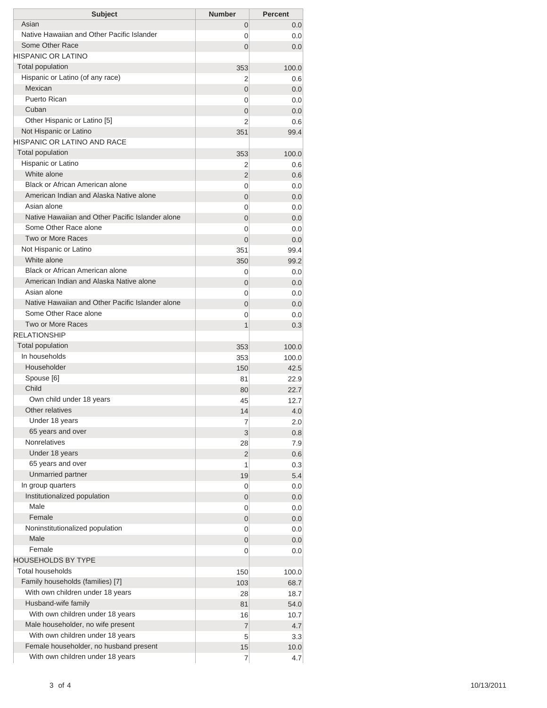| <b>Subject</b>                                   | <b>Number</b>  | <b>Percent</b> |
|--------------------------------------------------|----------------|----------------|
| Asian                                            | 0              | 0.0            |
| Native Hawaiian and Other Pacific Islander       | 0              | 0.0            |
| Some Other Race                                  | 0              | 0.0            |
| HISPANIC OR LATINO                               |                |                |
| <b>Total population</b>                          | 353            | 100.0          |
| Hispanic or Latino (of any race)                 | 2              | 0.6            |
| Mexican                                          | $\overline{0}$ | 0.0            |
| Puerto Rican                                     | 0              | 0.0            |
| Cuban                                            | 0              | 0.0            |
| Other Hispanic or Latino [5]                     | 2              | 0.6            |
| Not Hispanic or Latino                           | 351            | 99.4           |
| HISPANIC OR LATINO AND RACE                      |                |                |
| <b>Total population</b>                          | 353            | 100.0          |
| Hispanic or Latino                               | 2              | 0.6            |
| White alone                                      | 2              | 0.6            |
| Black or African American alone                  | 0              | 0.0            |
| American Indian and Alaska Native alone          | 0              | 0.0            |
| Asian alone                                      | 0              | 0.0            |
| Native Hawaiian and Other Pacific Islander alone | $\overline{0}$ | 0.0            |
| Some Other Race alone                            | 0              | 0.0            |
| Two or More Races                                | $\overline{0}$ | 0.0            |
| Not Hispanic or Latino                           | 351            | 99.4           |
| White alone                                      | 350            | 99.2           |
| Black or African American alone                  | 0              | 0.0            |
| American Indian and Alaska Native alone          | 0              | 0.0            |
| Asian alone                                      | 0              | 0.0            |
| Native Hawaiian and Other Pacific Islander alone | $\overline{0}$ | 0.0            |
| Some Other Race alone                            | 0              | 0.0            |
| Two or More Races                                | 1              | 0.3            |
| <b>RELATIONSHIP</b>                              |                |                |
| Total population                                 | 353            | 100.0          |
| In households                                    | 353            | 100.0          |
| Householder                                      | 150            | 42.5           |
| Spouse [6]                                       | 81             | 22.9           |
| Child                                            | 80             | 22.7           |
| Own child under 18 years                         | 45             | 12.7           |
| Other relatives                                  | 14             | 4.0            |
| Under 18 years                                   | 7              | 2.0            |
| 65 years and over                                | 3              | 0.8            |
| <b>Nonrelatives</b>                              | 28             | 7.9            |
| Under 18 years                                   | 2              | 0.6            |
| 65 years and over                                | 1              | 0.3            |
| Unmarried partner                                | 19             | 5.4            |
| In group quarters                                | 0              | 0.0            |
| Institutionalized population<br>Male             | 0              | 0.0            |
|                                                  | 0              | 0.0            |
| Female                                           | 0              | 0.0            |
| Noninstitutionalized population                  | 0              | 0.0            |
| Male                                             | 0              | 0.0            |
| Female                                           | 0              | 0.0            |
| HOUSEHOLDS BY TYPE                               |                |                |
| <b>Total households</b>                          | 150            | 100.0          |
| Family households (families) [7]                 | 103            | 68.7           |
| With own children under 18 years                 | 28             | 18.7           |
| Husband-wife family                              | 81             | 54.0           |
| With own children under 18 years                 | 16             | 10.7           |
| Male householder, no wife present                | 7              | 4.7            |
| With own children under 18 years                 | 5              | 3.3            |
| Female householder, no husband present           | 15             | 10.0           |
| With own children under 18 years                 | 7              | 4.7            |